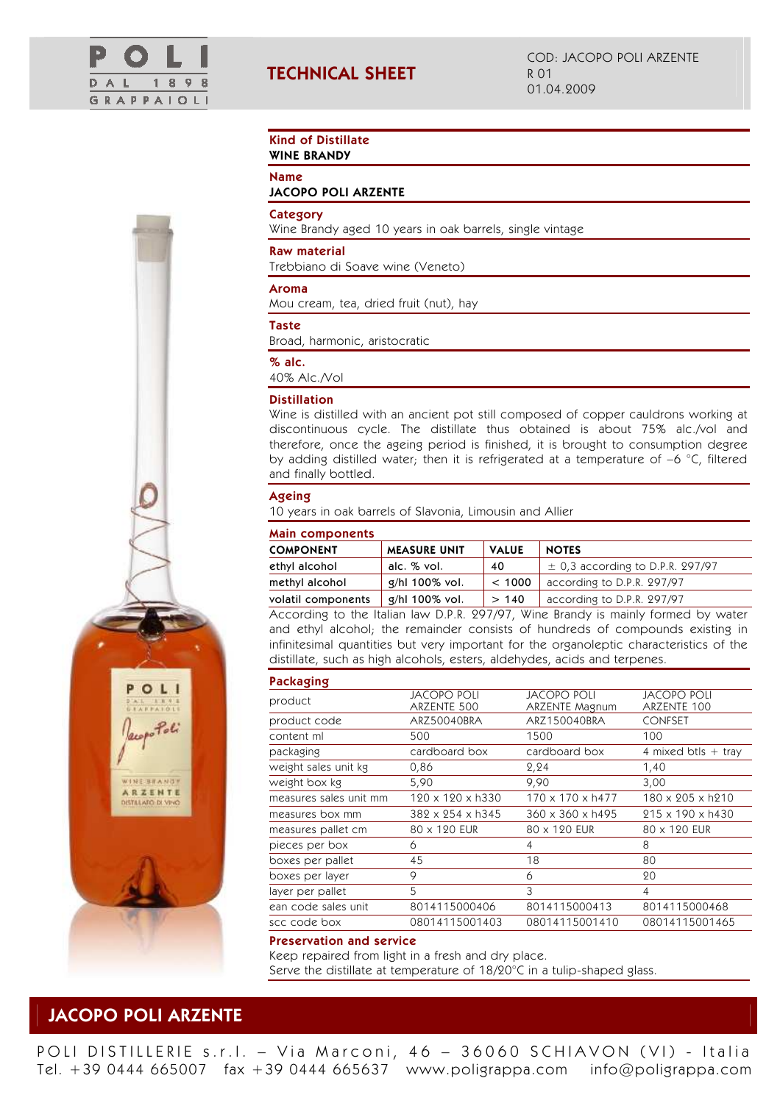

# TECHNICAL SHEET

#### Kind of Distillate WINE BRANDY

# Name

## JACOPO POLI ARZENTE

## Category

Wine Brandy aged 10 years in oak barrels, single vintage

## Raw material

Trebbiano di Soave wine (Veneto)

## Aroma

Mou cream, tea, dried fruit (nut), hay

## Taste

Broad, harmonic, aristocratic

# % alc.

40% Alc./Vol

## Distillation

Wine is distilled with an ancient pot still composed of copper cauldrons working at discontinuous cycle. The distillate thus obtained is about 75% alc./vol and therefore, once the ageing period is finished, it is brought to consumption degree by adding distilled water; then it is refrigerated at a temperature of –6 °C, filtered and finally bottled.

## Ageing

10 years in oak barrels of Slavonia, Limousin and Allier

## Main components

| <b>COMPONENT</b>   | <b>MEASURE UNIT</b> | <b>VALUE</b> | <b>NOTES</b>                         |  |  |  |
|--------------------|---------------------|--------------|--------------------------------------|--|--|--|
| ethyl alcohol      | alc. % vol.         | 40           | $\pm$ 0,3 according to D.P.R. 297/97 |  |  |  |
| methyl alcohol     | g/hl 100% vol.      | < 1000       | according to D.P.R. 297/97           |  |  |  |
| volatil components | g/hl 100% vol.      | >140         | according to D.P.R. 297/97           |  |  |  |

According to the Italian law D.P.R. 297/97, Wine Brandy is mainly formed by water and ethyl alcohol; the remainder consists of hundreds of compounds existing in infinitesimal quantities but very important for the organoleptic characteristics of the distillate, such as high alcohols, esters, aldehydes, acids and terpenes.

| Packaging              |                            |                               |                                   |
|------------------------|----------------------------|-------------------------------|-----------------------------------|
| product                | Jacopo poli<br>ARZENTE 500 | JACOPO POLI<br>ARZENTE Magnum | <b>JACOPO POLI</b><br>ARZENTE 100 |
| product code           | ARZ50040BRA                | ARZ150040BRA                  | <b>CONFSET</b>                    |
| content ml             | 500                        | 1500                          | 100                               |
| packaging              | cardboard box              | cardboard box                 | 4 mixed btls $+$ tray             |
| weight sales unit kg   | 0,86                       | 2,24                          | 1,40                              |
| weight box kg          | 5,90                       | 9,90                          | 3,00                              |
| measures sales unit mm | 120 x 120 x h330           | 170 x 170 x h477              | 180 x 205 x h210                  |
| measures box mm        | 382 x 254 x h345           | 360 x 360 x h495              | $215 \times 190 \times h430$      |
| measures pallet cm     | 80 x 120 EUR               | 80 x 120 EUR                  | 80 x 120 EUR                      |
| pieces per box         | 6                          | 4                             | 8                                 |
| boxes per pallet       | 45                         | 18                            | 80                                |
| boxes per layer        | 9                          | 6                             | 20                                |
| layer per pallet       | 5                          | 3                             | 4                                 |
| ean code sales unit    | 8014115000406              | 8014115000413                 | 8014115000468                     |
| scc code box           | 08014115001403             | 08014115001410                | 08014115001465                    |

#### Preservation and service

Keep repaired from light in a fresh and dry place.

Serve the distillate at temperature of 18/20°C in a tulip-shaped glass.

## JACOPO POLI ARZENTE

POLI DISTILLERIE s.r.l. – Via Marconi, 46 – 36060 SCHIAVON (VI) - Italia Tel.  $+390444665007$  fax  $+390444665637$  www.poligrappa.com info@poligrappa.com